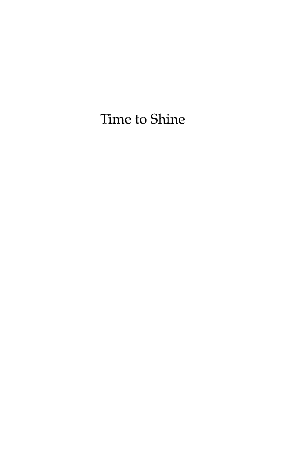## Time to Shine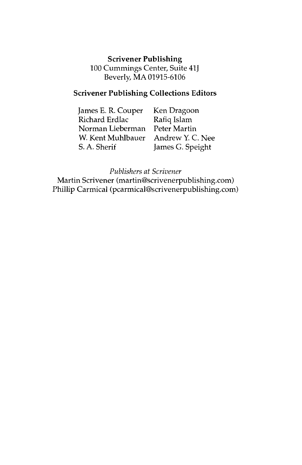#### **Scrivener Publishing**  100 Cummings Center, Suite 41J Beverly, MA 01915-6106

#### **Scrivener Publishing Collections Editors**

| James E. R. Couper | Ken Dragoon      |
|--------------------|------------------|
| Richard Erdlac     | Rafiq Islam      |
| Norman Lieberman   | Peter Martin     |
| W. Kent Muhlbauer  | Andrew Y. C. Nee |
| S. A. Sherif       | James G. Speight |

*Publishers at Scrivener* 

Martin Scrivener (martin@scrivenerpublishing.com) Phillip Carmical (pcarmical@scrivenerpublishing.com)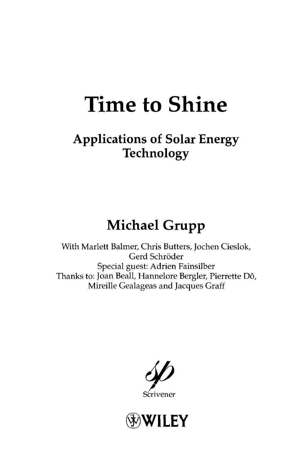## **Time to Shine**

## **Applications of Solar Energy Technology**

## **Michael Grupp**

With Marlett Balmer, Chris Butters, Jochen Cieslok, Gerd Schröder Special guest: Adrien Fainsilber Thanks to: Joan Beall, Hannelore Bergler, Pierrette Do, Mireille Gealageas and Jacques Graff



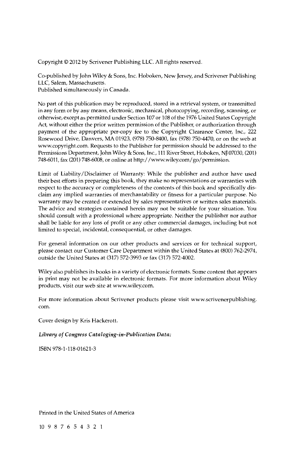Copyright © 2012 by Scrivener Publishing LLC. All rights reserved.

Co-published by John Wiley & Sons, Inc. Hoboken, New Jersey, and Scrivener Publishing LLC, Salem, Massachusetts.

Published simultaneously in Canada.

No part of this publication may be reproduced, stored in a retrieval system, or transmitted in any form or by any means, electronic, mechanical, photocopying, recording, scanning, or otherwise, except as permitted under Section 107 or 108 of the 1976 United States Copyright Act, without either the prior written permission of the Publisher, or authorization through payment of the appropriate per-copy fee to the Copyright Clearance Center, Inc., 222 Rosewood Drive, Danvers, MA 01923, (978) 750-8400, fax (978) 750-4470, or on the web at www.copyright.com. Requests to the Publisher for permission should be addressed to the Permissions Department, John Wiley & Sons, Inc., Ill River Street, Hoboken, NJ 07030, (201) 748-6011, fax (201) 748-6008, or online at http://www.wiley.com/go/permission.

Limit of Liability/Disclaimer of Warranty: While the publisher and author have used their best efforts in preparing this book, they make no representations or warranties with respect to the accuracy or completeness of the contents of this book and specifically disclaim any implied warranties of merchantability or fitness for a particular purpose. No warranty may be created or extended by sales representatives or written sales materials. The advice and strategies contained herein may not be suitable for your situation. You should consult with a professional where appropriate. Neither the publisher nor author shall be liable for any loss of profit or any other commercial damages, including but not limited to special, incidental, consequential, or other damages.

For general information on our other products and services or for technical support, please contact our Customer Care Department within the United States at (800) 762-2974, outside the United States at (317) 572-3993 or fax (317) 572-4002.

Wiley also publishes its books in a variety of electronic formats. Some content that appears in print may not be available in electronic formats. For more information about Wiley products, visit our web site at www.wiley.com.

For more information about Scrivener products please visit www.scrivenerpublishing. com.

Cover design by Kris Hackerott.

#### *Library of Congress Cataloging-in-Publication Data:*

ISBN 978-1-118-01621-3

Printed in the United States of America

10 98765432 1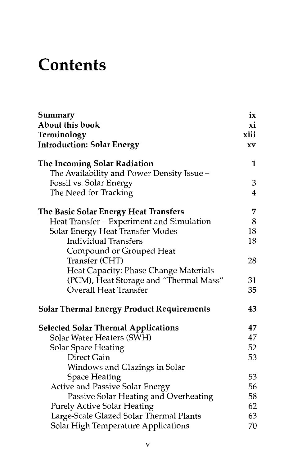## **Contents**

| Summary                                          | ix             |
|--------------------------------------------------|----------------|
| About this book                                  | xi             |
| Terminology                                      | xiii           |
| <b>Introduction: Solar Energy</b>                | XV             |
| The Incoming Solar Radiation                     | 1              |
| The Availability and Power Density Issue -       |                |
| Fossil vs. Solar Energy                          | 3              |
| The Need for Tracking                            | $\overline{4}$ |
| The Basic Solar Energy Heat Transfers            | 7              |
| Heat Transfer - Experiment and Simulation        | 8              |
| Solar Energy Heat Transfer Modes                 | 18             |
| <b>Individual Transfers</b>                      | 18             |
| Compound or Grouped Heat                         |                |
| Transfer (CHT)                                   | 28             |
| Heat Capacity: Phase Change Materials            |                |
| (PCM), Heat Storage and "Thermal Mass"           | 31             |
| <b>Overall Heat Transfer</b>                     | 35             |
| <b>Solar Thermal Energy Product Requirements</b> | 43             |
| <b>Selected Solar Thermal Applications</b>       | 47             |
| Solar Water Heaters (SWH)                        | 47             |
| <b>Solar Space Heating</b>                       | 52             |
| Direct Gain                                      | 53             |
| Windows and Glazings in Solar                    |                |
| <b>Space Heating</b>                             | 53             |
| <b>Active and Passive Solar Energy</b>           | 56             |
| Passive Solar Heating and Overheating            | 58             |
| <b>Purely Active Solar Heating</b>               | 62             |
| Large-Scale Glazed Solar Thermal Plants          | 63             |
| Solar High Temperature Applications              | 70             |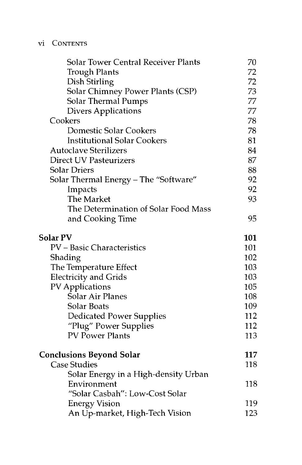#### vi CONTENTS

| <b>Solar Tower Central Receiver Plants</b> | 70  |
|--------------------------------------------|-----|
| <b>Trough Plants</b>                       | 72  |
| Dish Stirling                              | 72  |
| <b>Solar Chimney Power Plants (CSP)</b>    | 73  |
| <b>Solar Thermal Pumps</b>                 | 77  |
| <b>Divers Applications</b>                 | 77  |
| Cookers                                    | 78  |
| <b>Domestic Solar Cookers</b>              | 78  |
| <b>Institutional Solar Cookers</b>         | 81  |
| <b>Autoclave Sterilizers</b>               | 84  |
| <b>Direct UV Pasteurizers</b>              | 87  |
| <b>Solar Driers</b>                        | 88  |
| Solar Thermal Energy - The "Software"      | 92  |
| Impacts                                    | 92  |
| The Market                                 | 93  |
| The Determination of Solar Food Mass       |     |
| and Cooking Time                           | 95  |
| <b>Solar PV</b>                            | 101 |
| PV - Basic Characteristics                 | 101 |
| Shading                                    | 102 |
| The Temperature Effect                     | 103 |
| <b>Electricity and Grids</b>               | 103 |
| <b>PV</b> Applications                     | 105 |
| <b>Solar Air Planes</b>                    | 108 |
| Solar Boats                                | 109 |
| <b>Dedicated Power Supplies</b>            | 112 |
| "Plug" Power Supplies                      | 112 |
| <b>PV Power Plants</b>                     | 113 |
| <b>Conclusions Beyond Solar</b>            | 117 |
| <b>Case Studies</b>                        | 118 |
| Solar Energy in a High-density Urban       |     |
| Environment                                | 118 |
| "Solar Casbah": Low-Cost Solar             |     |
| <b>Energy Vision</b>                       | 119 |
| An Up-market, High-Tech Vision             | 123 |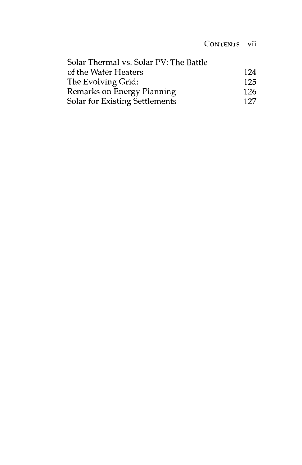#### CONTENTS vii

| Solar Thermal vs. Solar PV: The Battle |      |
|----------------------------------------|------|
| of the Water Heaters                   | 124  |
| The Evolving Grid:                     | 125  |
| Remarks on Energy Planning             | -126 |
| Solar for Existing Settlements         | 127  |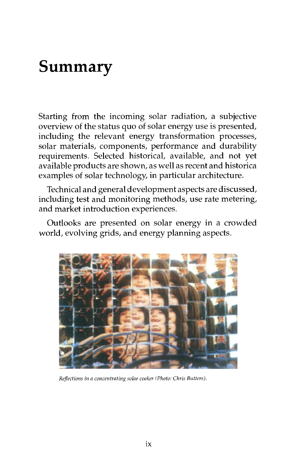## Summary

Starting from the incoming solar radiation, a subjective overview of the status quo of solar energy use is presented, including the relevant energy transformation processes, solar materials, components, performance and durability requirements. Selected historical, available, and not yet available products are shown, as well as recent and historica examples of solar technology, in particular architecture.

Technical and general development aspects are discussed, including test and monitoring methods, use rate metering, and market introduction experiences.

Outlooks are presented on solar energy in a crowded world, evolving grids, and energy planning aspects.



*Reflections in a concentrating solar cooker (Photo: Chris Butters).*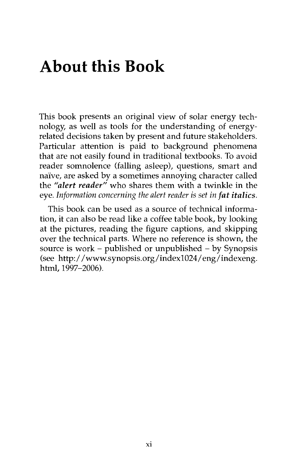## **About this Book**

This book presents an original view of solar energy technology, as well as tools for the understanding of energyrelated decisions taken by present and future stakeholders. Particular attention is paid to background phenomena that are not easily found in traditional textbooks. To avoid reader somnolence (falling asleep), questions, smart and naive, are asked by a sometimes annoying character called the *"alert reader"* who shares them with a twinkle in the eye. *Information concerning the alert reader is set in fat italics.* 

This book can be used as a source of technical information, it can also be read like a coffee table book, by looking at the pictures, reading the figure captions, and skipping over the technical parts. Where no reference is shown, the source is work - published or unpublished - by Synopsis (see http://www.synopsis.org/indexl024/eng/indexeng. html, 1997-2006).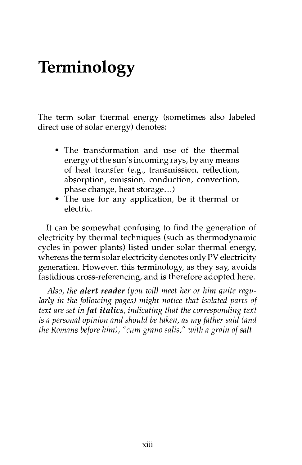## **Terminology**

The term solar thermal energy (sometimes also labeled direct use of solar energy) denotes:

- The transformation and use of the thermal energy of the sun's incoming rays, by any means of heat transfer (e.g., transmission, reflection, absorption, emission, conduction, convection, phase change, heat storage...)
- The use for any application, be it thermal or electric.

It can be somewhat confusing to find the generation of electricity by thermal techniques (such as thermodynamic cycles in power plants) listed under solar thermal energy, whereas the term solar electricity denotes only PV electricity generation. However, this terminology, as they say, avoids fastidious cross-referencing, and is therefore adopted here.

*Also, the alert reader (you will meet her or him quite regu*larly in the following pages) might notice that isolated parts of *text are set in fat italics, indicating that the corresponding text is a personal opinion and should be taken, as my father said (and the Romans before him), "cum grano salís," with a grain of salt.*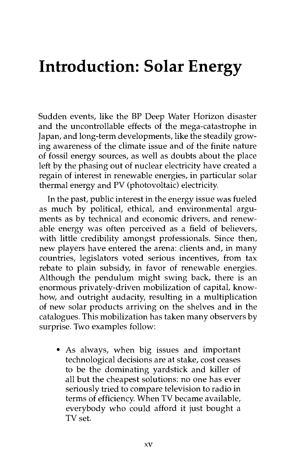## **Introduction: Solar Energy**

Sudden events, like the BP Deep Water Horizon disaster and the uncontrollable effects of the mega-catastrophe in Japan, and long-term developments, like the steadily growing awareness of the climate issue and of the finite nature of fossil energy sources, as well as doubts about the place left by the phasing out of nuclear electricity have created a regain of interest in renewable energies, in particular solar thermal energy and PV (photovoltaic) electricity

In the past, public interest in the energy issue was fueled as much by political, ethical, and environmental arguments as by technical and economic drivers, and renewable energy was often perceived as a field of believers, with little credibility amongst professionals. Since then, new players have entered the arena: clients and, in many countries, legislators voted serious incentives, from tax rebate to plain subsidy, in favor of renewable energies. Although the pendulum might swing back, there is an enormous privately-driven mobilization of capital, knowhow, and outright audacity, resulting in a multiplication of new solar products arriving on the shelves and in the catalogues. This mobilization has taken many observers by surprise. Two examples follow:

• As always, when big issues and important technological decisions are at stake, cost ceases to be the dominating yardstick and killer of all but the cheapest solutions: no one has ever seriously tried to compare television to radio in terms of efficiency. When TV became available, everybody who could afford it just bought a TV set.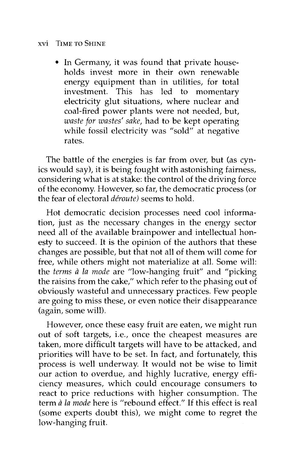#### xvi TIME TO SHINE

• In Germany, it was found that private households invest more in their own renewable energy equipment than in utilities, for total investment. This has led to momentary electricity glut situations, where nuclear and coal-fired power plants were not needed, but, *waste for wastes' sake,* had to be kept operating while fossil electricity was "sold" at negative rates.

The battle of the energies is far from over, but (as cynics would say), it is being fought with astonishing fairness, considering what is at stake: the control of the driving force of the economy. However, so far, the democratic process (or the fear of electoral *déroute)* seems to hold.

Hot democratic decision processes need cool information, just as the necessary changes in the energy sector need all of the available brainpower and intellectual honesty to succeed. It is the opinion of the authors that these changes are possible, but that not all of them will come for free, while others might not materialize at all. Some will: the *terms ä la mode* are "low-hanging fruit" and "picking the raisins from the cake," which refer to the phasing out of obviously wasteful and unnecessary practices. Few people are going to miss these, or even notice their disappearance (again, some will).

However, once these easy fruit are eaten, we might run out of soft targets, i.e., once the cheapest measures are taken, more difficult targets will have to be attacked, and priorities will have to be set. In fact, and fortunately, this process is well underway. It would not be wise to limit our action to overdue, and highly lucrative, energy efficiency measures, which could encourage consumers to react to price reductions with higher consumption. The term *a la mode* here is "rebound effect." If this effect is real (some experts doubt this), we might come to regret the low-hanging fruit.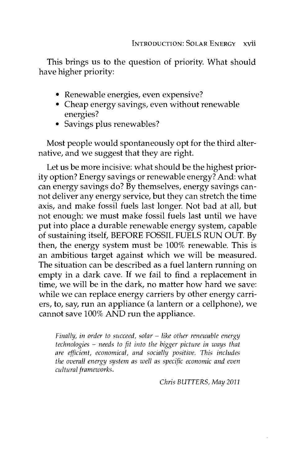This brings us to the question of priority. What should have higher priority:

- Renewable energies, even expensive?
- Cheap energy savings, even without renewable energies?
- Savings plus renewables?

Most people would spontaneously opt for the third alternative, and we suggest that they are right.

Let us be more incisive: what should be the highest priority option? Energy savings or renewable energy? And: what can energy savings do? By themselves, energy savings cannot deliver any energy service, but they can stretch the time axis, and make fossil fuels last longer. Not bad at all, but not enough: we must make fossil fuels last until we have put into place a durable renewable energy system, capable of sustaining itself, BEFORE FOSSIL FUELS RUN OUT. By then, the energy system must be 100% renewable. This is an ambitious target against which we will be measured. The situation can be described as a fuel lantern running on empty in a dark cave. If we fail to find a replacement in time, we will be in the dark, no matter how hard we save: while we can replace energy carriers by other energy carriers, to, say, run an appliance (a lantern or a cellphone), we cannot save 100% AND run the appliance.

*Finally, in order to succeed, solar - like other renewable energy technologies - needs to fit into the bigger picture in ways that are efficient, economical, and socially positive. This includes the overall energy system as well as specific economic and even cultural frameworks.* 

*Chris BUTTERS, May 2011*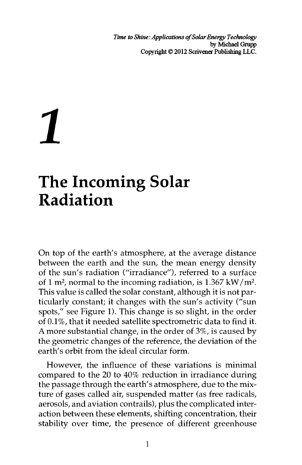*Time to Shine: Applications of Solar Energy Technology*  by Michael Grupp Copyright © 2012 Scrivener Publishing LLC.

## *1*

## **The Incoming Solar Radiation**

On top of the earth's atmosphere, at the average distance between the earth and the sun, the mean energy density of the sun's radiation ("irradiance"), referred to a surface of 1 m<sup>2</sup>, normal to the incoming radiation, is 1.367 kW/m<sup>2</sup>. This value is called the solar constant, although it is not particularly constant; it changes with the sun's activity ("sun spots/<sup>7</sup> see Figure 1). This change is so slight, in the order of 0.1%, that it needed satellite spectrometric data to find it. A more substantial change, in the order of 3%, is caused by the geometric changes of the reference, the deviation of the earth's orbit from the ideal circular form.

However, the influence of these variations is minimal compared to the 20 to 40% reduction in irradiance during the passage through the earth's atmosphere, due to the mixture of gases called air, suspended matter (as free radicals, aerosols, and aviation contrails), plus the complicated interaction between these elements, shifting concentration, their stability over time, the presence of different greenhouse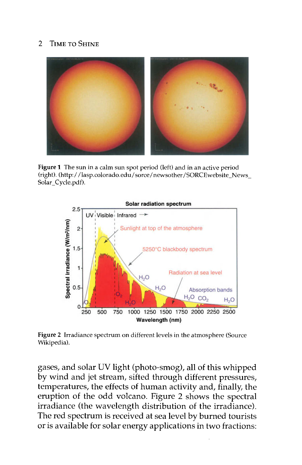#### 2 TIME TO SHINE



**Figure 1** The sun in a calm sun spot period (left) and in an active period (right). (http://lasp.colorado.edu/sorce/newsother/SORCEwebsite\_News\_ Solar Cycle.pdf).



**Figure 2** Irradiance spectrum on different levels in the atmosphere (Source Wikipedia).

gases, and solar UV light (photo-smog), all of this whipped by wind and jet stream, sifted through different pressures, temperatures, the effects of human activity and, finally, the eruption of the odd volcano. Figure 2 shows the spectral irradiance (the wavelength distribution of the irradiance). The red spectrum is received at sea level by burned tourists or is available for solar energy applications in two fractions: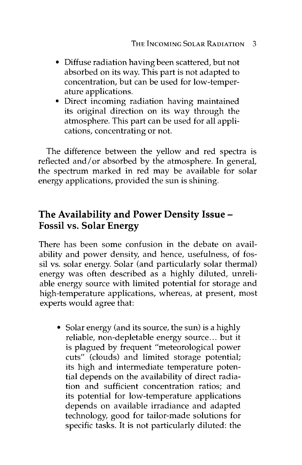- Diffuse radiation having been scattered, but not absorbed on its way. This part is not adapted to concentration, but can be used for low-temperature applications.
- Direct incoming radiation having maintained its original direction on its way through the atmosphere. This part can be used for all applications, concentrating or not.

The difference between the yellow and red spectra is reflected and/or absorbed by the atmosphere. In general, the spectrum marked in red may be available for solar energy applications, provided the sun is shining.

### The Availability and Power Density Issue - Fossil vs. Solar Energy

There has been some confusion in the debate on availability and power density, and hence, usefulness, of fossil vs. solar energy. Solar (and particularly solar thermal) energy was often described as a highly diluted, unreliable energy source with limited potential for storage and high-temperature applications, whereas, at present, most experts would agree that:

• Solar energy (and its source, the sun) is a highly reliable, non-depletable energy source... but it is plagued by frequent "meteorological power cuts" (clouds) and limited storage potential; its high and intermediate temperature potential depends on the availability of direct radiation and sufficient concentration ratios; and its potential for low-temperature applications depends on available irradiance and adapted technology, good for tailor-made solutions for specific tasks. It is not particularly diluted: the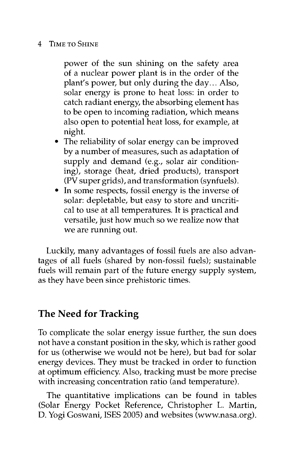#### 4 TIME TO SHINE

power of the sun shining on the safety area of a nuclear power plant is in the order of the plant's power, but only during the day... Also, solar energy is prone to heat loss: in order to catch radiant energy, the absorbing element has to be open to incoming radiation, which means also open to potential heat loss, for example, at night.

- The reliability of solar energy can be improved by a number of measures, such as adaptation of supply and demand (e.g., solar air conditioning), storage (heat, dried products), transport (PV super grids), and transformation (synfuels).
- In some respects, fossil energy is the inverse of solar: depletable, but easy to store and uncritical to use at all temperatures. It is practical and versatile, just how much so we realize now that we are running out.

Luckily, many advantages of fossil fuels are also advantages of all fuels (shared by non-fossil fuels); sustainable fuels will remain part of the future energy supply system, as they have been since prehistoric times.

#### The Need for Tracking

To complicate the solar energy issue further, the sun does not have a constant position in the sky, which is rather good for us (otherwise we would not be here), but bad for solar energy devices. They must be tracked in order to function at optimum efficiency. Also, tracking must be more precise with increasing concentration ratio (and temperature).

The quantitative implications can be found in tables (Solar Energy Pocket Reference, Christopher L. Martin, D. Yogi Goswani, ISES 2005) and websites (www.nasa.org).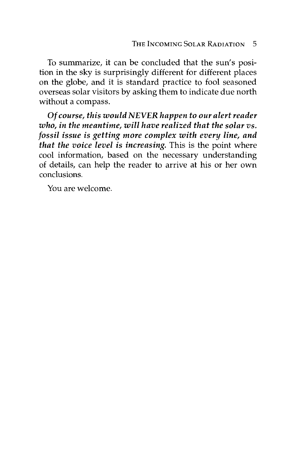To summarize, it can be concluded that the sun's position in the sky is surprisingly different for different places on the globe, and it is standard practice to fool seasoned overseas solar visitors by asking them to indicate due north without a compass.

*Of course, this would NEVER happen to our alert reader who, in the meantime, will have realized that the solar vs. fossil issue is getting more complex with every line, and that the voice level is increasing.* This is the point where cool information, based on the necessary understanding of details, can help the reader to arrive at his or her own conclusions.

You are welcome.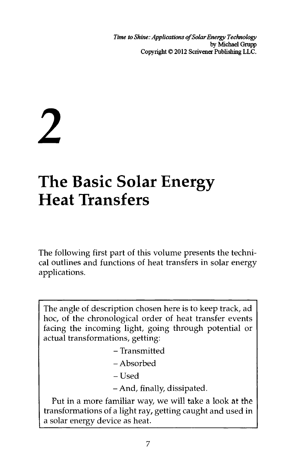*Time to Shine: Applications of Solar Energy Technology*  by Michael Grupp Copyright © 2012 Scrivener Publishing LLC.

# **2**

## **The Basic Solar Energy Heat Transfers**

The following first part of this volume presents the technical outlines and functions of heat transfers in solar energy applications.

The angle of description chosen here is to keep track, ad hoc, of the chronological order of heat transfer events facing the incoming light, going through potential or actual transformations, getting:

- Transmitted
- Absorbed
- Used
- And, finally, dissipated.

Put in a more familiar way, we will take a look at the transformations of a light ray, getting caught and used in a solar energy device as heat.